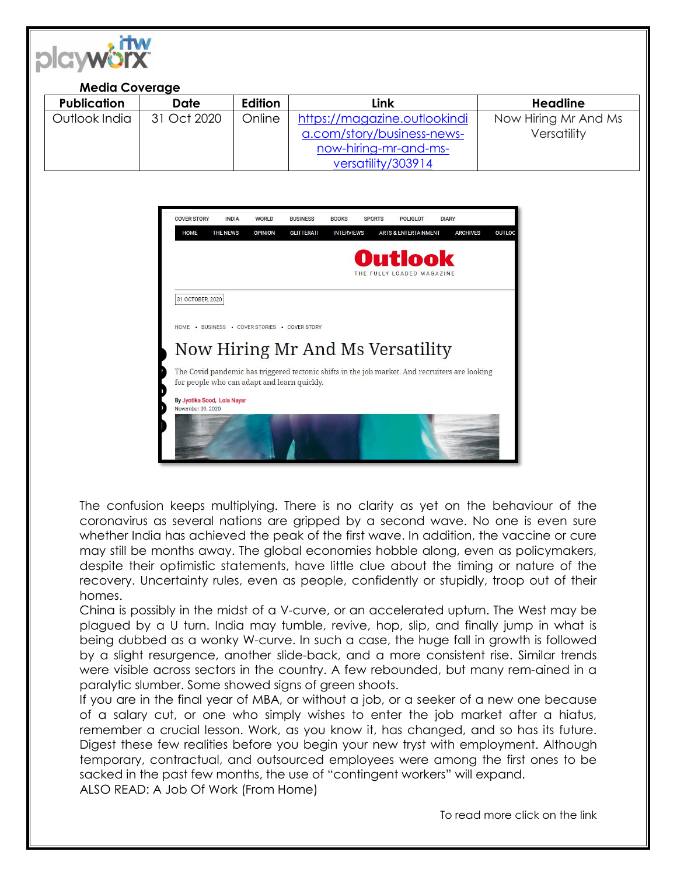

## **Media Coverage**

| <b>Publication</b> | Date        | Edition | Link                         | <b>Headline</b>      |
|--------------------|-------------|---------|------------------------------|----------------------|
| Outlook India      | 31 Oct 2020 | Online  | https://magazine.outlookindi | Now Hiring Mr And Ms |
|                    |             |         | a.com/story/business-news-   | Versatility          |
|                    |             |         | now-hiring-mr-and-ms-        |                      |
|                    |             |         | versatility/303914           |                      |



The confusion keeps multiplying. There is no clarity as yet on the behaviour of the coronavirus as several nations are gripped by a second wave. No one is even sure whether India has achieved the peak of the first wave. In addition, the vaccine or cure may still be months away. The global economies hobble along, even as policymakers, despite their optimistic statements, have little clue about the timing or nature of the recovery. Uncertainty rules, even as people, confidently or stupidly, troop out of their homes.

China is possibly in the midst of a V-curve, or an accelerated upturn. The West may be plagued by a U turn. India may tumble, revive, hop, slip, and finally jump in what is being dubbed as a wonky W-curve. In such a case, the huge fall in growth is followed by a slight resurgence, another slide-back, and a more consistent rise. Similar trends were visible across sectors in the country. A few rebounded, but many rem-ained in a paralytic slumber. Some showed signs of green shoots.

If you are in the final year of MBA, or without a job, or a seeker of a new one because of a salary cut, or one who simply wishes to enter the job market after a hiatus, remember a crucial lesson. Work, as you know it, has changed, and so has its future. Digest these few realities before you begin your new tryst with employment. Although temporary, contractual, and outsourced employees were among the first ones to be sacked in the past few months, the use of "contingent workers" will expand. ALSO READ: A Job Of Work (From Home)

To read more click on the link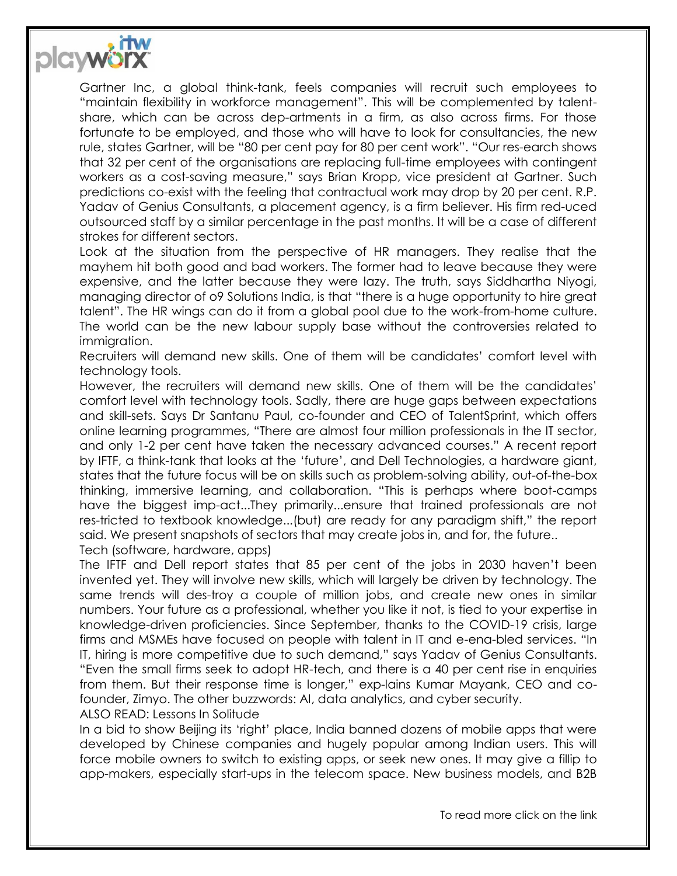

Gartner Inc, a global think-tank, feels companies will recruit such employees to "maintain flexibility in workforce management". This will be complemented by talentshare, which can be across dep-artments in a firm, as also across firms. For those fortunate to be employed, and those who will have to look for consultancies, the new rule, states Gartner, will be "80 per cent pay for 80 per cent work". "Our res-earch shows that 32 per cent of the organisations are replacing full-time employees with contingent workers as a cost-saving measure," says Brian Kropp, vice president at Gartner. Such predictions co-exist with the feeling that contractual work may drop by 20 per cent. R.P. Yadav of Genius Consultants, a placement agency, is a firm believer. His firm red-uced outsourced staff by a similar percentage in the past months. It will be a case of different strokes for different sectors.

Look at the situation from the perspective of HR managers. They realise that the mayhem hit both good and bad workers. The former had to leave because they were expensive, and the latter because they were lazy. The truth, says Siddhartha Niyogi, managing director of o9 Solutions India, is that "there is a huge opportunity to hire great talent". The HR wings can do it from a global pool due to the work-from-home culture. The world can be the new labour supply base without the controversies related to immigration.

Recruiters will demand new skills. One of them will be candidates' comfort level with technology tools.

However, the recruiters will demand new skills. One of them will be the candidates' comfort level with technology tools. Sadly, there are huge gaps between expectations and skill-sets. Says Dr Santanu Paul, co-founder and CEO of TalentSprint, which offers online learning programmes, "There are almost four million professionals in the IT sector, and only 1-2 per cent have taken the necessary advanced courses." A recent report by IFTF, a think-tank that looks at the 'future', and Dell Technologies, a hardware giant, states that the future focus will be on skills such as problem-solving ability, out-of-the-box thinking, immersive learning, and collaboration. "This is perhaps where boot-camps have the biggest imp-act...They primarily...ensure that trained professionals are not res-tricted to textbook knowledge...(but) are ready for any paradigm shift," the report said. We present snapshots of sectors that may create jobs in, and for, the future.. Tech (software, hardware, apps)

The IFTF and Dell report states that 85 per cent of the jobs in 2030 haven't been invented yet. They will involve new skills, which will largely be driven by technology. The same trends will des-troy a couple of million jobs, and create new ones in similar numbers. Your future as a professional, whether you like it not, is tied to your expertise in knowledge-driven proficiencies. Since September, thanks to the COVID-19 crisis, large firms and MSMEs have focused on people with talent in IT and e-enabled services. "In IT, hiring is more competitive due to such demand," says Yadav of Genius Consultants. "Even the small firms seek to adopt HR-tech, and there is a 40 per cent rise in enquiries from them. But their response time is longer," exp-lains Kumar Mayank, CEO and cofounder, Zimyo. The other buzzwords: AI, data analytics, and cyber security. ALSO READ: Lessons In Solitude

In a bid to show Beijing its 'right' place, India banned dozens of mobile apps that were developed by Chinese companies and hugely popular among Indian users. This will force mobile owners to switch to existing apps, or seek new ones. It may give a fillip to app-makers, especially start-ups in the telecom space. New business models, and B2B